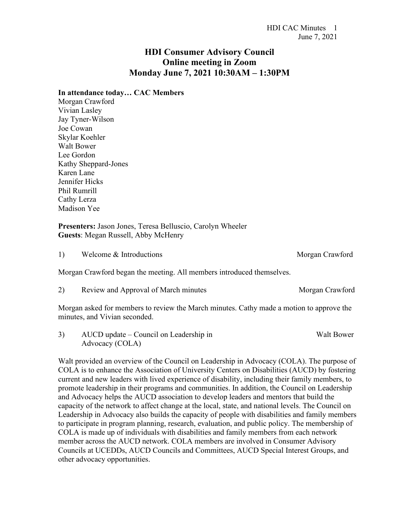## **HDI Consumer Advisory Council Online meeting in Zoom Monday June 7, 2021 10:30AM – 1:30PM**

## **In attendance today… CAC Members**

Morgan Crawford Vivian Lasley Jay Tyner-Wilson Joe Cowan Skylar Koehler Walt Bower Lee Gordon Kathy Sheppard-Jones Karen Lane Jennifer Hicks Phil Rumrill Cathy Lerza Madison Yee

**Presenters:** Jason Jones, Teresa Belluscio, Carolyn Wheeler **Guests**: Megan Russell, Abby McHenry

1) Welcome & Introductions Morgan Crawford

Morgan Crawford began the meeting. All members introduced themselves.

2) Review and Approval of March minutes Morgan Crawford

Morgan asked for members to review the March minutes. Cathy made a motion to approve the minutes, and Vivian seconded.

3) AUCD update – Council on Leadership in Walt Bower Advocacy (COLA)

Walt provided an overview of the Council on Leadership in Advocacy (COLA). The purpose of COLA is to enhance the Association of University Centers on Disabilities (AUCD) by fostering current and new leaders with lived experience of disability, including their family members, to promote leadership in their programs and communities. In addition, the Council on Leadership and Advocacy helps the AUCD association to develop leaders and mentors that build the capacity of the network to affect change at the local, state, and national levels. The Council on Leadership in Advocacy also builds the capacity of people with disabilities and family members to participate in program planning, research, evaluation, and public policy. The membership of COLA is made up of individuals with disabilities and family members from each network member across the AUCD network. COLA members are involved in Consumer Advisory Councils at UCEDDs, AUCD Councils and Committees, AUCD Special Interest Groups, and other advocacy opportunities.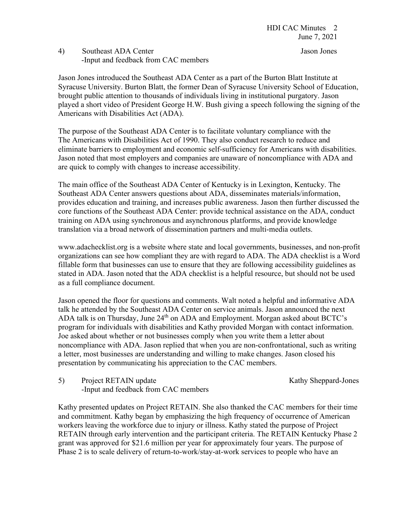## 4) Southeast ADA Center Jason Jones -Input and feedback from CAC members

Jason Jones introduced the Southeast ADA Center as a part of the Burton Blatt Institute at Syracuse University. Burton Blatt, the former Dean of Syracuse University School of Education, brought public attention to thousands of individuals living in institutional purgatory. Jason played a short video of President George H.W. Bush giving a speech following the signing of the Americans with Disabilities Act (ADA).

The purpose of the Southeast ADA Center is to facilitate voluntary compliance with the The Americans with Disabilities Act of 1990. They also conduct research to reduce and eliminate barriers to employment and economic self-sufficiency for Americans with disabilities. Jason noted that most employers and companies are unaware of noncompliance with ADA and are quick to comply with changes to increase accessibility.

The main office of the Southeast ADA Center of Kentucky is in Lexington, Kentucky. The Southeast ADA Center answers questions about ADA, disseminates materials/information, provides education and training, and increases public awareness. Jason then further discussed the core functions of the Southeast ADA Center: provide technical assistance on the ADA, conduct training on ADA using synchronous and asynchronous platforms, and provide knowledge translation via a broad network of dissemination partners and multi-media outlets.

www.adachecklist.org is a website where state and local governments, businesses, and non-profit organizations can see how compliant they are with regard to ADA. The ADA checklist is a Word fillable form that businesses can use to ensure that they are following accessibility guidelines as stated in ADA. Jason noted that the ADA checklist is a helpful resource, but should not be used as a full compliance document.

Jason opened the floor for questions and comments. Walt noted a helpful and informative ADA talk he attended by the Southeast ADA Center on service animals. Jason announced the next ADA talk is on Thursday, June 24<sup>th</sup> on ADA and Employment. Morgan asked about BCTC's program for individuals with disabilities and Kathy provided Morgan with contact information. Joe asked about whether or not businesses comply when you write them a letter about noncompliance with ADA. Jason replied that when you are non-confrontational, such as writing a letter, most businesses are understanding and willing to make changes. Jason closed his presentation by communicating his appreciation to the CAC members.

5) Project RETAIN update Kathy Sheppard-Jones -Input and feedback from CAC members

Kathy presented updates on Project RETAIN. She also thanked the CAC members for their time and commitment. Kathy began by emphasizing the high frequency of occurrence of American workers leaving the workforce due to injury or illness. Kathy stated the purpose of Project RETAIN through early intervention and the participant criteria. The RETAIN Kentucky Phase 2 grant was approved for \$21.6 million per year for approximately four years. The purpose of Phase 2 is to scale delivery of return-to-work/stay-at-work services to people who have an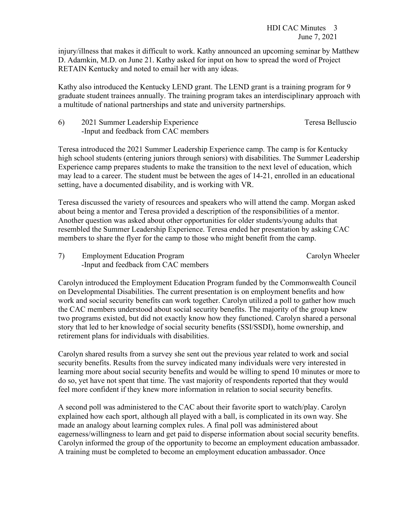injury/illness that makes it difficult to work. Kathy announced an upcoming seminar by Matthew D. Adamkin, M.D. on June 21. Kathy asked for input on how to spread the word of Project RETAIN Kentucky and noted to email her with any ideas.

Kathy also introduced the Kentucky LEND grant. The LEND grant is a training program for 9 graduate student trainees annually. The training program takes an interdisciplinary approach with a multitude of national partnerships and state and university partnerships.

| 6) | 2021 Summer Leadership Experience    | Teresa Belluscio |
|----|--------------------------------------|------------------|
|    | -Input and feedback from CAC members |                  |

Teresa introduced the 2021 Summer Leadership Experience camp. The camp is for Kentucky high school students (entering juniors through seniors) with disabilities. The Summer Leadership Experience camp prepares students to make the transition to the next level of education, which may lead to a career. The student must be between the ages of 14-21, enrolled in an educational setting, have a documented disability, and is working with VR.

Teresa discussed the variety of resources and speakers who will attend the camp. Morgan asked about being a mentor and Teresa provided a description of the responsibilities of a mentor. Another question was asked about other opportunities for older students/young adults that resembled the Summer Leadership Experience. Teresa ended her presentation by asking CAC members to share the flyer for the camp to those who might benefit from the camp.

7) Employment Education Program Carolyn Wheeler -Input and feedback from CAC members

Carolyn introduced the Employment Education Program funded by the Commonwealth Council on Developmental Disabilities. The current presentation is on employment benefits and how work and social security benefits can work together. Carolyn utilized a poll to gather how much the CAC members understood about social security benefits. The majority of the group knew two programs existed, but did not exactly know how they functioned. Carolyn shared a personal story that led to her knowledge of social security benefits (SSI/SSDI), home ownership, and retirement plans for individuals with disabilities.

Carolyn shared results from a survey she sent out the previous year related to work and social security benefits. Results from the survey indicated many individuals were very interested in learning more about social security benefits and would be willing to spend 10 minutes or more to do so, yet have not spent that time. The vast majority of respondents reported that they would feel more confident if they knew more information in relation to social security benefits.

A second poll was administered to the CAC about their favorite sport to watch/play. Carolyn explained how each sport, although all played with a ball, is complicated in its own way. She made an analogy about learning complex rules. A final poll was administered about eagerness/willingness to learn and get paid to disperse information about social security benefits. Carolyn informed the group of the opportunity to become an employment education ambassador. A training must be completed to become an employment education ambassador. Once